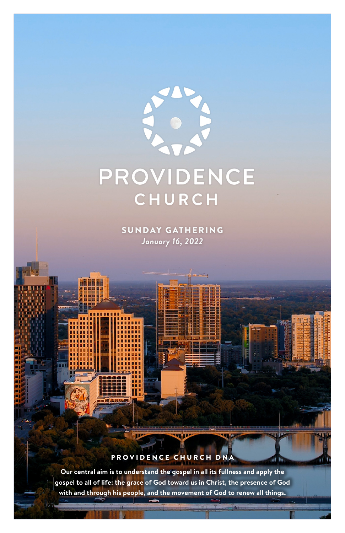

# **PROVIDENCE** CHURCH

SUNDAY GATHERING *January 16, 2022*

# PROVIDENCE CHURCH DNA

**Our central aim is to understand the gospel in all its fullness and apply the gospel to all of life: the grace of God toward us in Christ, the presence of God with and through his people, and the movement of God to renew all things.**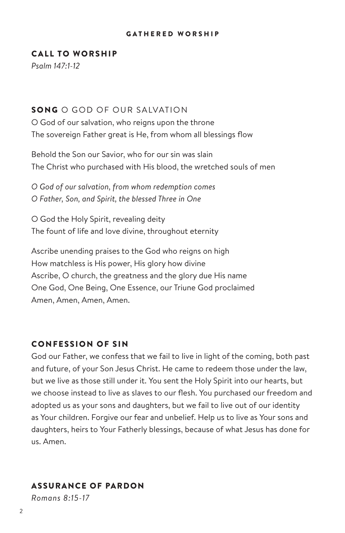#### GATHERED WORSHIP

#### CALL TO WORSHIP

*Psalm 147:1-12*

# SONG O GOD OF OUR SALVATION

O God of our salvation, who reigns upon the throne The sovereign Father great is He, from whom all blessings flow

Behold the Son our Savior, who for our sin was slain The Christ who purchased with His blood, the wretched souls of men

*O God of our salvation, from whom redemption comes O Father, Son, and Spirit, the blessed Three in One*

O God the Holy Spirit, revealing deity The fount of life and love divine, throughout eternity

Ascribe unending praises to the God who reigns on high How matchless is His power, His glory how divine Ascribe, O church, the greatness and the glory due His name One God, One Being, One Essence, our Triune God proclaimed Amen, Amen, Amen, Amen.

### CONFESSION OF SIN

God our Father, we confess that we fail to live in light of the coming, both past and future, of your Son Jesus Christ. He came to redeem those under the law, but we live as those still under it. You sent the Holy Spirit into our hearts, but we choose instead to live as slaves to our flesh. You purchased our freedom and adopted us as your sons and daughters, but we fail to live out of our identity as Your children. Forgive our fear and unbelief. Help us to live as Your sons and daughters, heirs to Your Fatherly blessings, because of what Jesus has done for us. Amen.

#### ASSURANCE OF PARDON

*Romans 8:15-17*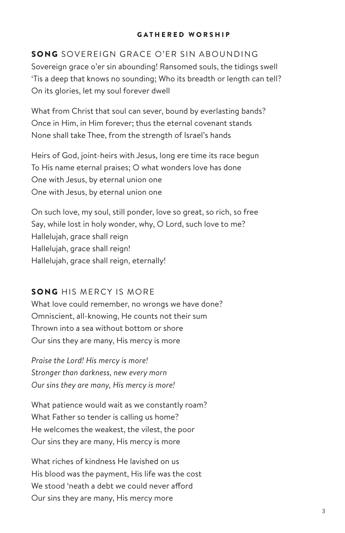#### GATHERED WORSHIP

SONG SOVEREIGN GRACE O'ER SIN ABOUNDING Sovereign grace o'er sin abounding! Ransomed souls, the tidings swell 'Tis a deep that knows no sounding; Who its breadth or length can tell? On its glories, let my soul forever dwell

What from Christ that soul can sever, bound by everlasting bands? Once in Him, in Him forever; thus the eternal covenant stands None shall take Thee, from the strength of Israel's hands

Heirs of God, joint-heirs with Jesus, long ere time its race begun To His name eternal praises; O what wonders love has done One with Jesus, by eternal union one One with Jesus, by eternal union one

On such love, my soul, still ponder, love so great, so rich, so free Say, while lost in holy wonder, why, O Lord, such love to me? Hallelujah, grace shall reign Hallelujah, grace shall reign! Hallelujah, grace shall reign, eternally!

# SONG HIS MERCY IS MORE

What love could remember, no wrongs we have done? Omniscient, all-knowing, He counts not their sum Thrown into a sea without bottom or shore Our sins they are many, His mercy is more

*Praise the Lord! His mercy is more! Stronger than darkness, new every morn Our sins they are many, His mercy is more!* 

What patience would wait as we constantly roam? What Father so tender is calling us home? He welcomes the weakest, the vilest, the poor Our sins they are many, His mercy is more

What riches of kindness He lavished on us His blood was the payment, His life was the cost We stood 'neath a debt we could never afford Our sins they are many, His mercy more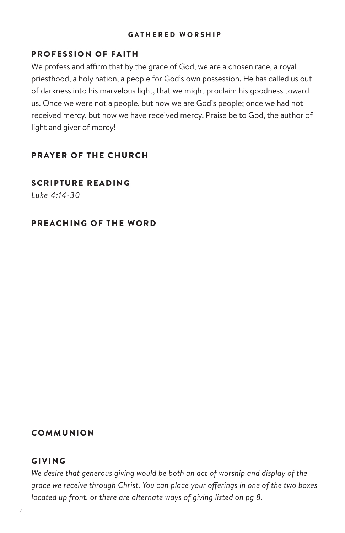## PROFESSION OF FAITH

We profess and affirm that by the grace of God, we are a chosen race, a royal priesthood, a holy nation, a people for God's own possession. He has called us out of darkness into his marvelous light, that we might proclaim his goodness toward us. Once we were not a people, but now we are God's people; once we had not received mercy, but now we have received mercy. Praise be to God, the author of light and giver of mercy!

# PRAYER OF THE CHURCH

## SCRIPTURE READING

*Luke 4:14-30*

# PREACHING OF THE WORD

## **COMMUNION**

#### GIVING

*We desire that generous giving would be both an act of worship and display of the grace we receive through Christ. You can place your offerings in one of the two boxes located up front, or there are alternate ways of giving listed on pg 8.*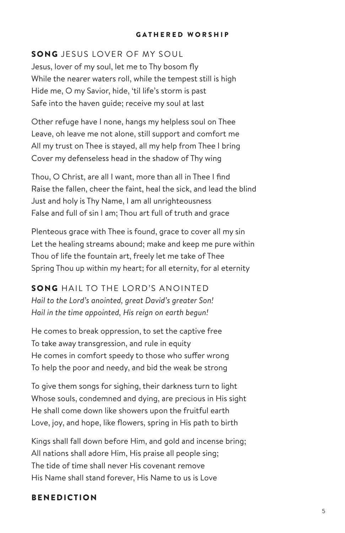#### GATHERED WORSHIP

SONG JESUS LOVER OF MY SOUL

Jesus, lover of my soul, let me to Thy bosom fly While the nearer waters roll, while the tempest still is high Hide me, O my Savior, hide, 'til life's storm is past Safe into the haven guide; receive my soul at last

Other refuge have I none, hangs my helpless soul on Thee Leave, oh leave me not alone, still support and comfort me All my trust on Thee is stayed, all my help from Thee I bring Cover my defenseless head in the shadow of Thy wing

Thou, O Christ, are all I want, more than all in Thee I find Raise the fallen, cheer the faint, heal the sick, and lead the blind Just and holy is Thy Name, I am all unrighteousness False and full of sin I am; Thou art full of truth and grace

Plenteous grace with Thee is found, grace to cover all my sin Let the healing streams abound; make and keep me pure within Thou of life the fountain art, freely let me take of Thee Spring Thou up within my heart; for all eternity, for al eternity

SONG HAIL TO THE LORD'S ANOINTED *Hail to the Lord's anointed, great David's greater Son! Hail in the time appointed, His reign on earth begun!*

He comes to break oppression, to set the captive free To take away transgression, and rule in equity He comes in comfort speedy to those who suffer wrong To help the poor and needy, and bid the weak be strong

To give them songs for sighing, their darkness turn to light Whose souls, condemned and dying, are precious in His sight He shall come down like showers upon the fruitful earth Love, joy, and hope, like flowers, spring in His path to birth

Kings shall fall down before Him, and gold and incense bring; All nations shall adore Him, His praise all people sing; The tide of time shall never His covenant remove His Name shall stand forever, His Name to us is Love

# BENEDICTION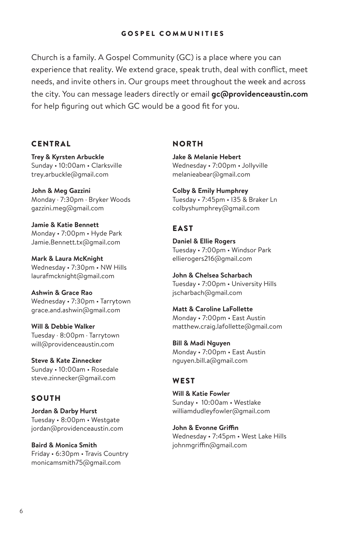#### GOSPEL COMMUNITIES

Church is a family. A Gospel Community (GC) is a place where you can experience that reality. We extend grace, speak truth, deal with conflict, meet needs, and invite others in. Our groups meet throughout the week and across the city. You can message leaders directly or email **gc@providenceaustin.com** for help figuring out which GC would be a good fit for you.

#### CENTRAL

NORTH

**Trey & Kyrsten Arbuckle** Sunday • 10:00am • Clarksville trey.arbuckle@gmail.com

**John & Meg Gazzini** Monday · 7:30pm · Bryker Woods gazzini.meg@gmail.com

**Jamie & Katie Bennett** Monday • 7:00pm • Hyde Park Jamie.Bennett.tx@gmail.com

**Mark & Laura McKnight**  Wednesday • 7:30pm • NW Hills laurafmcknight@gmail.com

**Ashwin & Grace Rao** Wednesday • 7:30pm • Tarrytown grace.and.ashwin@gmail.com

**Will & Debbie Walker** Tuesday · 8:00pm · Tarrytown will@providenceaustin.com

**Steve & Kate Zinnecker** Sunday • 10:00am • Rosedale steve.zinnecker@gmail.com

## SOUTH

**Jordan & Darby Hurst** Tuesday • 8:00pm • Westgate jordan@providenceaustin.com

**Baird & Monica Smith** Friday • 6:30pm • Travis Country monicamsmith75@gmail.com

**Jake & Melanie Hebert** Wednesday • 7:00pm • Jollyville melanieabear@gmail.com

**Colby & Emily Humphrey** Tuesday • 7:45pm • I35 & Braker Ln colbyshumphrey@gmail.com

# EAST

**Daniel & Ellie Rogers** Tuesday • 7:00pm • Windsor Park ellierogers216@gmail.com

**John & Chelsea Scharbach** Tuesday • 7:00pm • University Hills jscharbach@gmail.com

**Matt & Caroline LaFollette** Monday • 7:00pm • East Austin matthew.craig.lafollette@gmail.com

**Bill & Madi Nguyen** Monday • 7:00pm • East Austin nguyen.bill.a@gmail.com

# **WEST**

**Will & Katie Fowler** Sunday • 10:00am • Westlake williamdudleyfowler@gmail.com

**John & Evonne Griffin** Wednesday • 7:45pm • West Lake Hills johnmgriffin@gmail.com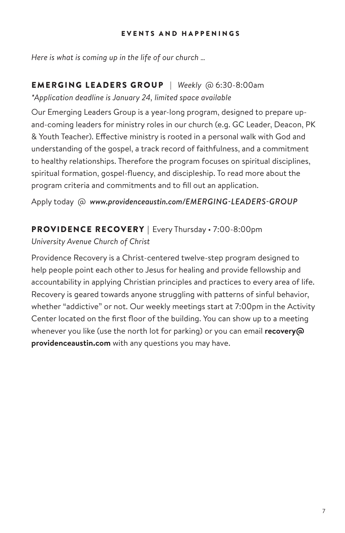#### EVENTS AND HAPPENINGS

*Here is what is coming up in the life of our church …*

# EMERGING LEADERS GROUP | *Weekly* @ 6:30-8:00am *\*Application deadline is January 24, limited space available*

Our Emerging Leaders Group is a year-long program, designed to prepare upand-coming leaders for ministry roles in our church (e.g. GC Leader, Deacon, PK & Youth Teacher). Effective ministry is rooted in a personal walk with God and understanding of the gospel, a track record of faithfulness, and a commitment to healthy relationships. Therefore the program focuses on spiritual disciplines, spiritual formation, gospel-fluency, and discipleship. To read more about the program criteria and commitments and to fill out an application.

Apply today @ *www.providenceaustin.com/EMERGING-LEADERS-GROUP*

# PROVIDENCE RECOVERY | Every Thursday • 7:00-8:00pm

*University Avenue Church of Christ*

Providence Recovery is a Christ-centered twelve-step program designed to help people point each other to Jesus for healing and provide fellowship and accountability in applying Christian principles and practices to every area of life. Recovery is geared towards anyone struggling with patterns of sinful behavior, whether "addictive" or not. Our weekly meetings start at 7:00pm in the Activity Center located on the first floor of the building. You can show up to a meeting whenever you like (use the north lot for parking) or you can email **recovery@ providenceaustin.com** with any questions you may have.